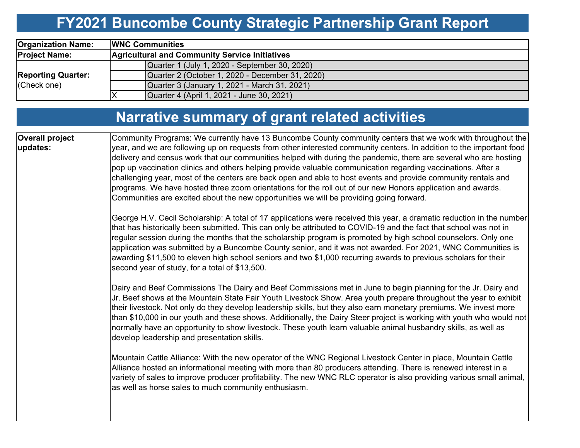# **FY2021 Buncombe County Strategic Partnership Grant Report**

| <b>Organization Name:</b>                | <b>IWNC Communities</b>                               |  |  |  |  |  |  |  |  |
|------------------------------------------|-------------------------------------------------------|--|--|--|--|--|--|--|--|
| <b>Project Name:</b>                     | <b>Agricultural and Community Service Initiatives</b> |  |  |  |  |  |  |  |  |
|                                          | Quarter 1 (July 1, 2020 - September 30, 2020)         |  |  |  |  |  |  |  |  |
| <b>Reporting Quarter:</b><br>(Check one) | Quarter 2 (October 1, 2020 - December 31, 2020)       |  |  |  |  |  |  |  |  |
|                                          | Quarter 3 (January 1, 2021 - March 31, 2021)          |  |  |  |  |  |  |  |  |
|                                          | Quarter 4 (April 1, 2021 - June 30, 2021)             |  |  |  |  |  |  |  |  |

## **Narrative summary of grant related activities**

| <b>Overall project</b> | Community Programs: We currently have 13 Buncombe County community centers that we work with throughout the                                                                                                                                                                                                                                                                                                                                                                                                                                                                                                                                       |
|------------------------|---------------------------------------------------------------------------------------------------------------------------------------------------------------------------------------------------------------------------------------------------------------------------------------------------------------------------------------------------------------------------------------------------------------------------------------------------------------------------------------------------------------------------------------------------------------------------------------------------------------------------------------------------|
| updates:               | year, and we are following up on requests from other interested community centers. In addition to the important food                                                                                                                                                                                                                                                                                                                                                                                                                                                                                                                              |
|                        | delivery and census work that our communities helped with during the pandemic, there are several who are hosting                                                                                                                                                                                                                                                                                                                                                                                                                                                                                                                                  |
|                        | pop up vaccination clinics and others helping provide valuable communication regarding vaccinations. After a                                                                                                                                                                                                                                                                                                                                                                                                                                                                                                                                      |
|                        | challenging year, most of the centers are back open and able to host events and provide community rentals and                                                                                                                                                                                                                                                                                                                                                                                                                                                                                                                                     |
|                        | programs. We have hosted three zoom orientations for the roll out of our new Honors application and awards.                                                                                                                                                                                                                                                                                                                                                                                                                                                                                                                                       |
|                        | Communities are excited about the new opportunities we will be providing going forward.                                                                                                                                                                                                                                                                                                                                                                                                                                                                                                                                                           |
|                        | George H.V. Cecil Scholarship: A total of 17 applications were received this year, a dramatic reduction in the number<br>that has historically been submitted. This can only be attributed to COVID-19 and the fact that school was not in<br>regular session during the months that the scholarship program is promoted by high school counselors. Only one<br>application was submitted by a Buncombe County senior, and it was not awarded. For 2021, WNC Communities is<br>awarding \$11,500 to eleven high school seniors and two \$1,000 recurring awards to previous scholars for their<br>second year of study, for a total of \$13,500.  |
|                        | Dairy and Beef Commissions The Dairy and Beef Commissions met in June to begin planning for the Jr. Dairy and<br>Jr. Beef shows at the Mountain State Fair Youth Livestock Show. Area youth prepare throughout the year to exhibit<br>their livestock. Not only do they develop leadership skills, but they also earn monetary premiums. We invest more<br>than \$10,000 in our youth and these shows. Additionally, the Dairy Steer project is working with youth who would not<br>normally have an opportunity to show livestock. These youth learn valuable animal husbandry skills, as well as<br>develop leadership and presentation skills. |
|                        | Mountain Cattle Alliance: With the new operator of the WNC Regional Livestock Center in place, Mountain Cattle<br>Alliance hosted an informational meeting with more than 80 producers attending. There is renewed interest in a<br>variety of sales to improve producer profitability. The new WNC RLC operator is also providing various small animal,<br>as well as horse sales to much community enthusiasm.                                                                                                                                                                                                                                  |
|                        |                                                                                                                                                                                                                                                                                                                                                                                                                                                                                                                                                                                                                                                   |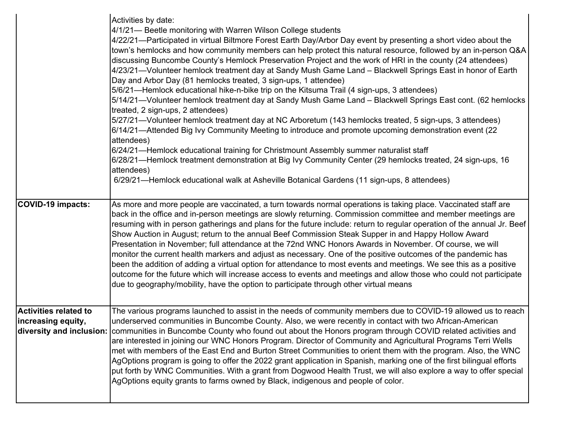|                                                    | Activities by date:<br>4/1/21— Beetle monitoring with Warren Wilson College students<br>4/22/21—Participated in virtual Biltmore Forest Earth Day/Arbor Day event by presenting a short video about the<br>town's hemlocks and how community members can help protect this natural resource, followed by an in-person Q&A<br>discussing Buncombe County's Hemlock Preservation Project and the work of HRI in the county (24 attendees)<br>4/23/21—Volunteer hemlock treatment day at Sandy Mush Game Land - Blackwell Springs East in honor of Earth<br>Day and Arbor Day (81 hemlocks treated, 3 sign-ups, 1 attendee)<br>5/6/21—Hemlock educational hike-n-bike trip on the Kitsuma Trail (4 sign-ups, 3 attendees)<br>5/14/21-Volunteer hemlock treatment day at Sandy Mush Game Land - Blackwell Springs East cont. (62 hemlocks<br>treated, 2 sign-ups, 2 attendees)<br>5/27/21—Volunteer hemlock treatment day at NC Arboretum (143 hemlocks treated, 5 sign-ups, 3 attendees)<br>6/14/21—Attended Big Ivy Community Meeting to introduce and promote upcoming demonstration event (22<br>attendees)<br>6/24/21—Hemlock educational training for Christmount Assembly summer naturalist staff<br>6/28/21—Hemlock treatment demonstration at Big Ivy Community Center (29 hemlocks treated, 24 sign-ups, 16<br>attendees)<br>6/29/21—Hemlock educational walk at Asheville Botanical Gardens (11 sign-ups, 8 attendees) |
|----------------------------------------------------|-------------------------------------------------------------------------------------------------------------------------------------------------------------------------------------------------------------------------------------------------------------------------------------------------------------------------------------------------------------------------------------------------------------------------------------------------------------------------------------------------------------------------------------------------------------------------------------------------------------------------------------------------------------------------------------------------------------------------------------------------------------------------------------------------------------------------------------------------------------------------------------------------------------------------------------------------------------------------------------------------------------------------------------------------------------------------------------------------------------------------------------------------------------------------------------------------------------------------------------------------------------------------------------------------------------------------------------------------------------------------------------------------------------------------------|
| COVID-19 impacts:                                  | As more and more people are vaccinated, a turn towards normal operations is taking place. Vaccinated staff are<br>back in the office and in-person meetings are slowly returning. Commission committee and member meetings are<br>resuming with in person gatherings and plans for the future include: return to regular operation of the annual Jr. Beef<br>Show Auction in August; return to the annual Beef Commission Steak Supper in and Happy Hollow Award<br>Presentation in November; full attendance at the 72nd WNC Honors Awards in November. Of course, we will<br>monitor the current health markers and adjust as necessary. One of the positive outcomes of the pandemic has<br>been the addition of adding a virtual option for attendance to most events and meetings. We see this as a positive<br>outcome for the future which will increase access to events and meetings and allow those who could not participate<br>due to geography/mobility, have the option to participate through other virtual means                                                                                                                                                                                                                                                                                                                                                                                              |
| <b>Activities related to</b><br>increasing equity, | The various programs launched to assist in the needs of community members due to COVID-19 allowed us to reach<br>underserved communities in Buncombe County. Also, we were recently in contact with two African-American<br>diversity and inclusion: communities in Buncombe County who found out about the Honors program through COVID related activities and<br>are interested in joining our WNC Honors Program. Director of Community and Agricultural Programs Terri Wells<br>met with members of the East End and Burton Street Communities to orient them with the program. Also, the WNC<br>AgOptions program is going to offer the 2022 grant application in Spanish, marking one of the first bilingual efforts<br>put forth by WNC Communities. With a grant from Dogwood Health Trust, we will also explore a way to offer special<br>AgOptions equity grants to farms owned by Black, indigenous and people of color.                                                                                                                                                                                                                                                                                                                                                                                                                                                                                           |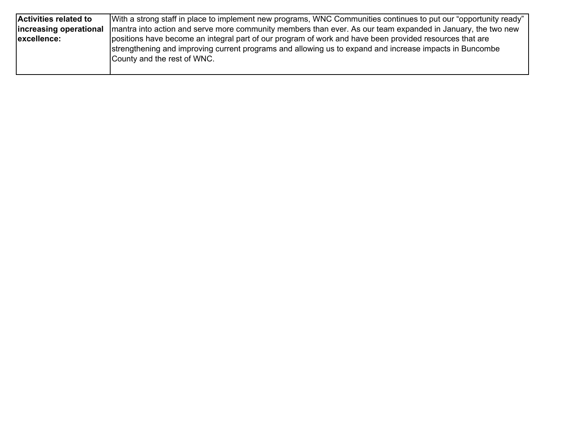| <b>Activities related to</b> | With a strong staff in place to implement new programs, WNC Communities continues to put our "opportunity ready" |
|------------------------------|------------------------------------------------------------------------------------------------------------------|
| increasing operational       | Imantra into action and serve more community members than ever. As our team expanded in January, the two new     |
| excellence:                  | positions have become an integral part of our program of work and have been provided resources that are          |
|                              | strengthening and improving current programs and allowing us to expand and increase impacts in Buncombe          |
|                              | County and the rest of WNC.                                                                                      |
|                              |                                                                                                                  |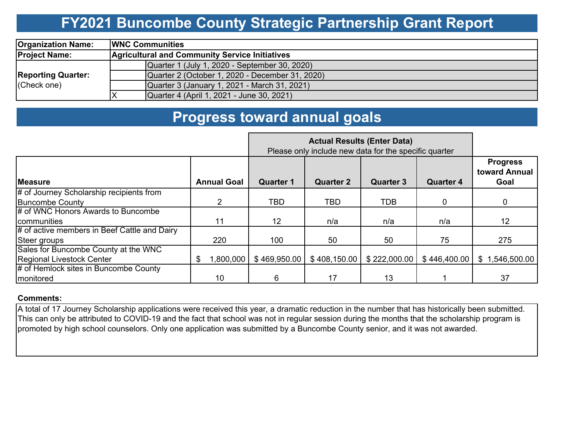### **FY2021 Buncombe County Strategic Partnership Grant Report**

| <b>Organization Name:</b>                | <b>IWNC Communities</b>                               |  |  |  |  |  |  |  |  |
|------------------------------------------|-------------------------------------------------------|--|--|--|--|--|--|--|--|
| <b>Project Name:</b>                     | <b>Agricultural and Community Service Initiatives</b> |  |  |  |  |  |  |  |  |
| <b>Reporting Quarter:</b><br>(Check one) | Quarter 1 (July 1, 2020 - September 30, 2020)         |  |  |  |  |  |  |  |  |
|                                          | Quarter 2 (October 1, 2020 - December 31, 2020)       |  |  |  |  |  |  |  |  |
|                                          | Quarter 3 (January 1, 2021 - March 31, 2021)          |  |  |  |  |  |  |  |  |
|                                          | Quarter 4 (April 1, 2021 - June 30, 2021)             |  |  |  |  |  |  |  |  |

### **Progress toward annual goals**

|                                              |                    | Please only include new data for the specific quarter |                  |                                      |              |                                          |
|----------------------------------------------|--------------------|-------------------------------------------------------|------------------|--------------------------------------|--------------|------------------------------------------|
| <b>IMeasure</b>                              | <b>Annual Goal</b> | <b>Quarter 1</b>                                      | <b>Quarter 2</b> | <b>Quarter 3</b><br><b>Quarter 4</b> |              | <b>Progress</b><br>toward Annual<br>Goal |
| # of Journey Scholarship recipients from     |                    |                                                       |                  |                                      |              |                                          |
| <b>Buncombe County</b>                       | 2                  | TBD                                                   | <b>TBD</b>       | <b>TDB</b>                           | 0            | 0                                        |
| # of WNC Honors Awards to Buncombe           |                    |                                                       |                  |                                      |              |                                          |
| <b>communities</b>                           | 11                 | 12 <sup>2</sup>                                       | n/a              | n/a                                  | n/a          | 12                                       |
| # of active members in Beef Cattle and Dairy |                    |                                                       |                  |                                      |              |                                          |
| Steer groups                                 | 220                | 100                                                   | 50               | 50                                   | 75           | 275                                      |
| Sales for Buncombe County at the WNC         |                    |                                                       |                  |                                      |              |                                          |
| Regional Livestock Center                    | ,800,000<br>S      | \$469,950.00                                          | \$408,150.00     | \$222,000.00                         | \$446,400.00 | \$1,546,500.00                           |
| # of Hemlock sites in Buncombe County        |                    |                                                       |                  |                                      |              |                                          |
| <b>Imonitored</b>                            | 10                 | 6                                                     | 17               | 13                                   |              | 37                                       |

### **Comments:**

A total of 17 Journey Scholarship applications were received this year, a dramatic reduction in the number that has historically been submitted. This can only be attributed to COVID-19 and the fact that school was not in regular session during the months that the scholarship program is promoted by high school counselors. Only one application was submitted by a Buncombe County senior, and it was not awarded.